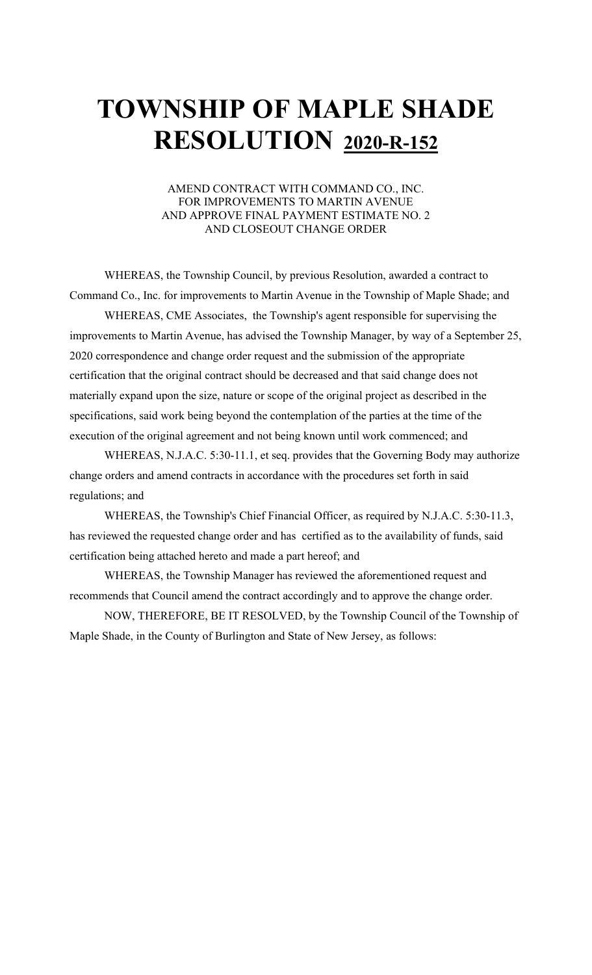### AMEND CONTRACT WITH COMMAND CO., INC. FOR IMPROVEMENTS TO MARTIN AVENUE AND APPROVE FINAL PAYMENT ESTIMATE NO. 2 AND CLOSEOUT CHANGE ORDER

WHEREAS, the Township Council, by previous Resolution, awarded a contract to Command Co., Inc. for improvements to Martin Avenue in the Township of Maple Shade; and

WHEREAS, CME Associates, the Township's agent responsible for supervising the improvements to Martin Avenue, has advised the Township Manager, by way of a September 25, 2020 correspondence and change order request and the submission of the appropriate certification that the original contract should be decreased and that said change does not materially expand upon the size, nature or scope of the original project as described in the specifications, said work being beyond the contemplation of the parties at the time of the execution of the original agreement and not being known until work commenced; and

WHEREAS, N.J.A.C. 5:30-11.1, et seq. provides that the Governing Body may authorize change orders and amend contracts in accordance with the procedures set forth in said regulations; and

WHEREAS, the Township's Chief Financial Officer, as required by N.J.A.C. 5:30-11.3, has reviewed the requested change order and has certified as to the availability of funds, said certification being attached hereto and made a part hereof; and

WHEREAS, the Township Manager has reviewed the aforementioned request and recommends that Council amend the contract accordingly and to approve the change order.

NOW, THEREFORE, BE IT RESOLVED, by the Township Council of the Township of Maple Shade, in the County of Burlington and State of New Jersey, as follows: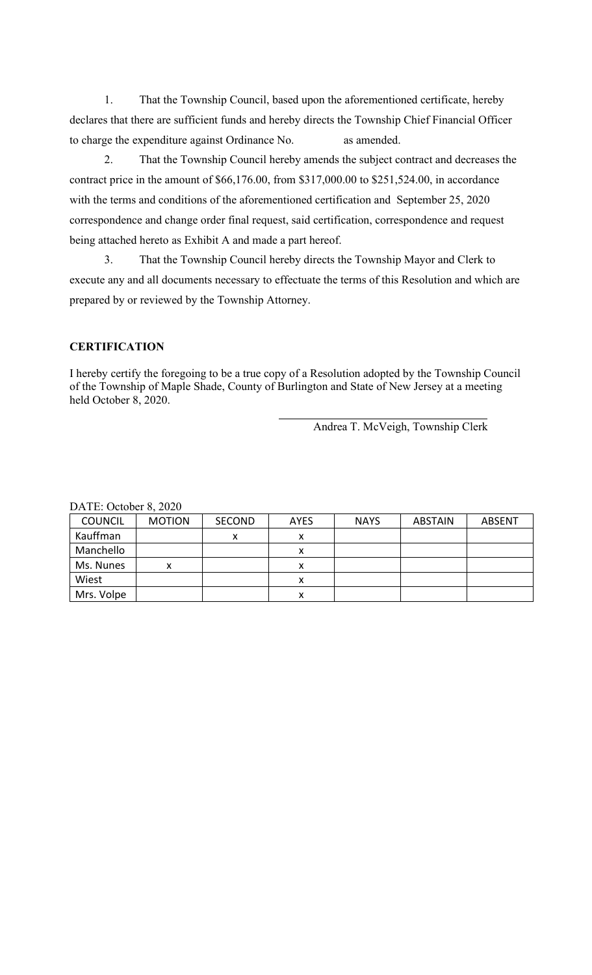1. That the Township Council, based upon the aforementioned certificate, hereby declares that there are sufficient funds and hereby directs the Township Chief Financial Officer to charge the expenditure against Ordinance No. as amended.

2. That the Township Council hereby amends the subject contract and decreases the contract price in the amount of \$66,176.00, from \$317,000.00 to \$251,524.00, in accordance with the terms and conditions of the aforementioned certification and September 25, 2020 correspondence and change order final request, said certification, correspondence and request being attached hereto as Exhibit A and made a part hereof.

3. That the Township Council hereby directs the Township Mayor and Clerk to execute any and all documents necessary to effectuate the terms of this Resolution and which are prepared by or reviewed by the Township Attorney.

## **CERTIFICATION**

I hereby certify the foregoing to be a true copy of a Resolution adopted by the Township Council of the Township of Maple Shade, County of Burlington and State of New Jersey at a meeting held October 8, 2020.

Andrea T. McVeigh, Township Clerk

| <b>COUNCIL</b> | <b>MOTION</b> | <b>SECOND</b> | <b>AYES</b> | <b>NAYS</b> | <b>ABSTAIN</b> | <b>ABSENT</b> |
|----------------|---------------|---------------|-------------|-------------|----------------|---------------|
| Kauffman       |               | х             | х           |             |                |               |
| Manchello      |               |               | л           |             |                |               |
| Ms. Nunes      | x             |               | х           |             |                |               |
| Wiest          |               |               | ́           |             |                |               |
| Mrs. Volpe     |               |               | ́           |             |                |               |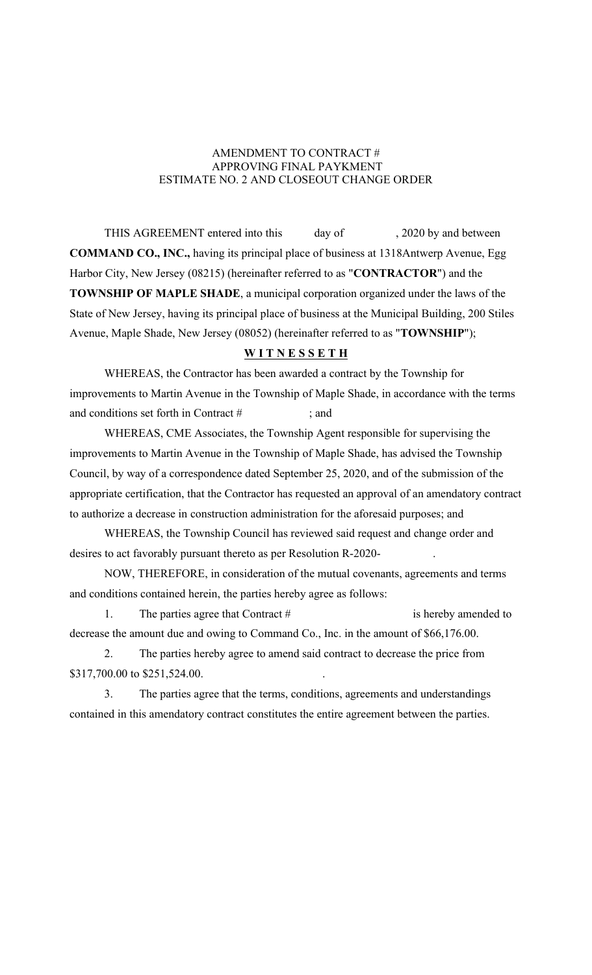## AMENDMENT TO CONTRACT # APPROVING FINAL PAYKMENT ESTIMATE NO. 2 AND CLOSEOUT CHANGE ORDER

THIS AGREEMENT entered into this day of , 2020 by and between **COMMAND CO., INC.,** having its principal place of business at 1318Antwerp Avenue, Egg Harbor City, New Jersey (08215) (hereinafter referred to as "**CONTRACTOR**") and the **TOWNSHIP OF MAPLE SHADE**, a municipal corporation organized under the laws of the State of New Jersey, having its principal place of business at the Municipal Building, 200 Stiles Avenue, Maple Shade, New Jersey (08052) (hereinafter referred to as "**TOWNSHIP**");

## **W I T N E S S E T H**

WHEREAS, the Contractor has been awarded a contract by the Township for improvements to Martin Avenue in the Township of Maple Shade, in accordance with the terms and conditions set forth in Contract  $#$  : and

WHEREAS, CME Associates, the Township Agent responsible for supervising the improvements to Martin Avenue in the Township of Maple Shade, has advised the Township Council, by way of a correspondence dated September 25, 2020, and of the submission of the appropriate certification, that the Contractor has requested an approval of an amendatory contract to authorize a decrease in construction administration for the aforesaid purposes; and

WHEREAS, the Township Council has reviewed said request and change order and desires to act favorably pursuant thereto as per Resolution R-2020-

NOW, THEREFORE, in consideration of the mutual covenants, agreements and terms and conditions contained herein, the parties hereby agree as follows:

1. The parties agree that Contract # is hereby amended to decrease the amount due and owing to Command Co., Inc. in the amount of \$66,176.00.

2. The parties hereby agree to amend said contract to decrease the price from \$317,700.00 to \$251,524.00.

3. The parties agree that the terms, conditions, agreements and understandings contained in this amendatory contract constitutes the entire agreement between the parties.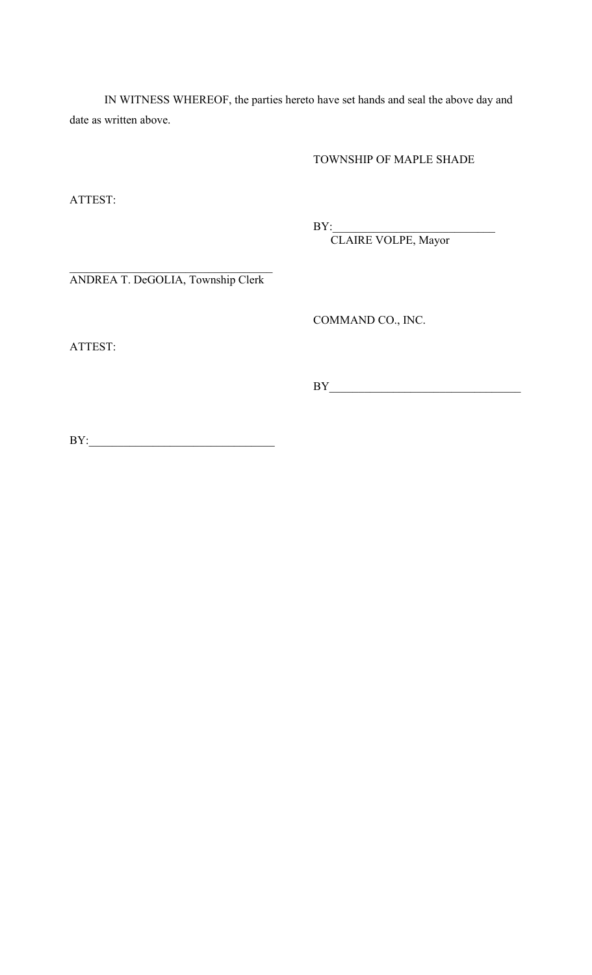IN WITNESS WHEREOF, the parties hereto have set hands and seal the above day and date as written above.

TOWNSHIP OF MAPLE SHADE

ATTEST:

BY:\_\_\_\_\_\_\_\_\_\_\_\_\_\_\_\_\_\_\_\_\_\_\_\_\_\_\_\_

CLAIRE VOLPE, Mayor

ANDREA T. DeGOLIA, Township Clerk

COMMAND CO., INC.

ATTEST:

BY\_\_\_\_\_\_\_\_\_\_\_\_\_\_\_\_\_\_\_\_\_\_\_\_\_\_\_\_\_\_\_\_\_

BY:\_\_\_\_\_\_\_\_\_\_\_\_\_\_\_\_\_\_\_\_\_\_\_\_\_\_\_\_\_\_\_\_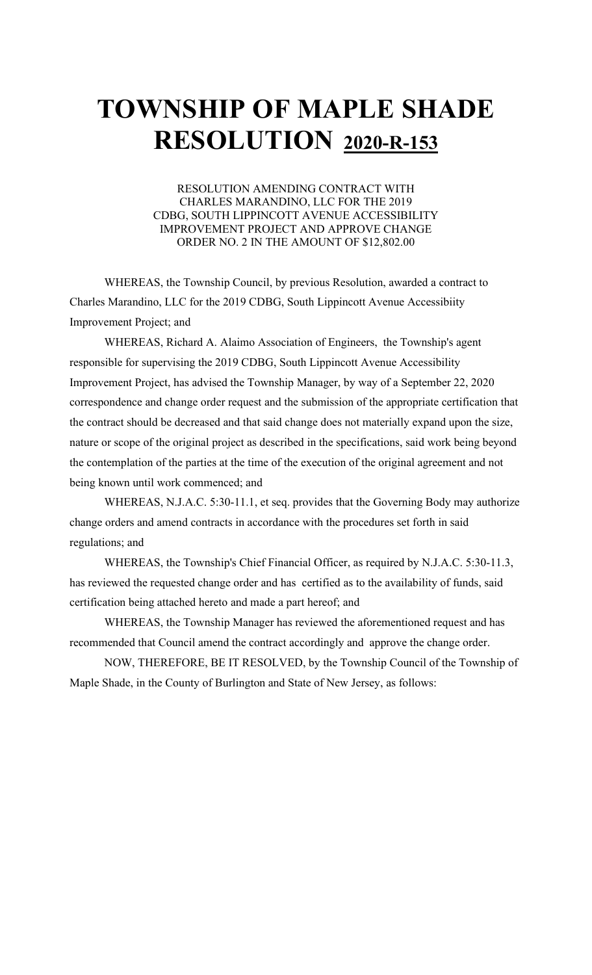### RESOLUTION AMENDING CONTRACT WITH CHARLES MARANDINO, LLC FOR THE 2019 CDBG, SOUTH LIPPINCOTT AVENUE ACCESSIBILITY IMPROVEMENT PROJECT AND APPROVE CHANGE ORDER NO. 2 IN THE AMOUNT OF \$12,802.00

WHEREAS, the Township Council, by previous Resolution, awarded a contract to Charles Marandino, LLC for the 2019 CDBG, South Lippincott Avenue Accessibiity Improvement Project; and

WHEREAS, Richard A. Alaimo Association of Engineers, the Township's agent responsible for supervising the 2019 CDBG, South Lippincott Avenue Accessibility Improvement Project, has advised the Township Manager, by way of a September 22, 2020 correspondence and change order request and the submission of the appropriate certification that the contract should be decreased and that said change does not materially expand upon the size, nature or scope of the original project as described in the specifications, said work being beyond the contemplation of the parties at the time of the execution of the original agreement and not being known until work commenced; and

WHEREAS, N.J.A.C. 5:30-11.1, et seq. provides that the Governing Body may authorize change orders and amend contracts in accordance with the procedures set forth in said regulations; and

WHEREAS, the Township's Chief Financial Officer, as required by N.J.A.C. 5:30-11.3, has reviewed the requested change order and has certified as to the availability of funds, said certification being attached hereto and made a part hereof; and

WHEREAS, the Township Manager has reviewed the aforementioned request and has recommended that Council amend the contract accordingly and approve the change order.

NOW, THEREFORE, BE IT RESOLVED, by the Township Council of the Township of Maple Shade, in the County of Burlington and State of New Jersey, as follows: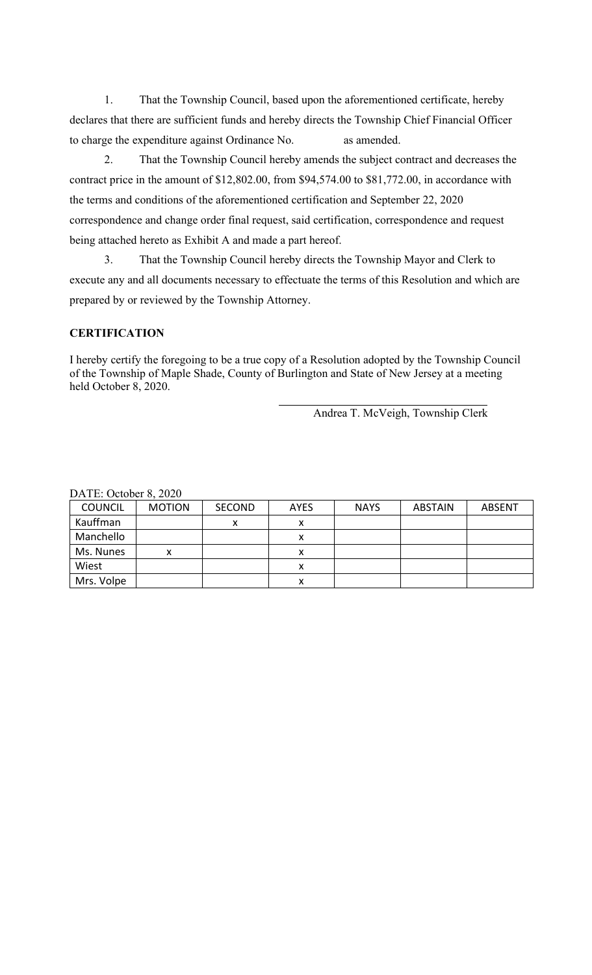1. That the Township Council, based upon the aforementioned certificate, hereby declares that there are sufficient funds and hereby directs the Township Chief Financial Officer to charge the expenditure against Ordinance No. as amended.

2. That the Township Council hereby amends the subject contract and decreases the contract price in the amount of \$12,802.00, from \$94,574.00 to \$81,772.00, in accordance with the terms and conditions of the aforementioned certification and September 22, 2020 correspondence and change order final request, said certification, correspondence and request being attached hereto as Exhibit A and made a part hereof.

3. That the Township Council hereby directs the Township Mayor and Clerk to execute any and all documents necessary to effectuate the terms of this Resolution and which are prepared by or reviewed by the Township Attorney.

# **CERTIFICATION**

I hereby certify the foregoing to be a true copy of a Resolution adopted by the Township Council of the Township of Maple Shade, County of Burlington and State of New Jersey at a meeting held October 8, 2020.

Andrea T. McVeigh, Township Clerk

| <b>COUNCIL</b> | <b>MOTION</b> | <b>SECOND</b> | <b>AYES</b> | <b>NAYS</b> | <b>ABSTAIN</b> | <b>ABSENT</b> |
|----------------|---------------|---------------|-------------|-------------|----------------|---------------|
| Kauffman       |               | x             | x           |             |                |               |
| Manchello      |               |               |             |             |                |               |
| Ms. Nunes      | x             |               | x           |             |                |               |
| Wiest          |               |               | х           |             |                |               |
| Mrs. Volpe     |               |               | л           |             |                |               |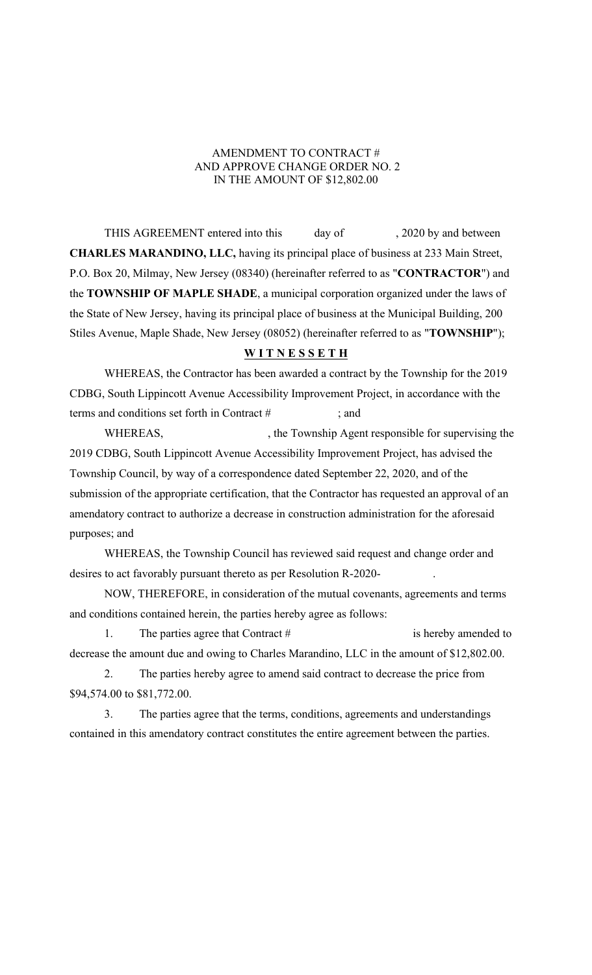## AMENDMENT TO CONTRACT # AND APPROVE CHANGE ORDER NO. 2 IN THE AMOUNT OF \$12,802.00

THIS AGREEMENT entered into this day of , 2020 by and between **CHARLES MARANDINO, LLC,** having its principal place of business at 233 Main Street, P.O. Box 20, Milmay, New Jersey (08340) (hereinafter referred to as "**CONTRACTOR**") and the **TOWNSHIP OF MAPLE SHADE**, a municipal corporation organized under the laws of the State of New Jersey, having its principal place of business at the Municipal Building, 200 Stiles Avenue, Maple Shade, New Jersey (08052) (hereinafter referred to as "**TOWNSHIP**");

#### **W I T N E S S E T H**

WHEREAS, the Contractor has been awarded a contract by the Township for the 2019 CDBG, South Lippincott Avenue Accessibility Improvement Project, in accordance with the terms and conditions set forth in Contract # ; and

WHEREAS,  $\qquad \qquad$ , the Township Agent responsible for supervising the 2019 CDBG, South Lippincott Avenue Accessibility Improvement Project, has advised the Township Council, by way of a correspondence dated September 22, 2020, and of the submission of the appropriate certification, that the Contractor has requested an approval of an amendatory contract to authorize a decrease in construction administration for the aforesaid purposes; and

WHEREAS, the Township Council has reviewed said request and change order and desires to act favorably pursuant thereto as per Resolution R-2020-

NOW, THEREFORE, in consideration of the mutual covenants, agreements and terms and conditions contained herein, the parties hereby agree as follows:

1. The parties agree that Contract # is hereby amended to decrease the amount due and owing to Charles Marandino, LLC in the amount of \$12,802.00.

2. The parties hereby agree to amend said contract to decrease the price from \$94,574.00 to \$81,772.00.

3. The parties agree that the terms, conditions, agreements and understandings contained in this amendatory contract constitutes the entire agreement between the parties.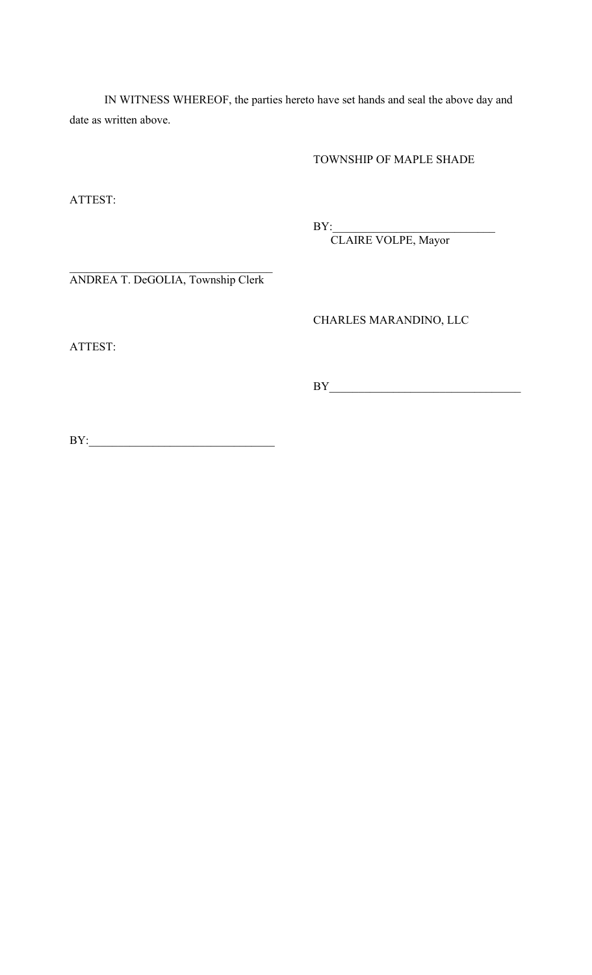IN WITNESS WHEREOF, the parties hereto have set hands and seal the above day and date as written above.

TOWNSHIP OF MAPLE SHADE

ATTEST:

BY:\_\_\_\_\_\_\_\_\_\_\_\_\_\_\_\_\_\_\_\_\_\_\_\_\_\_\_\_

CLAIRE VOLPE, Mayor

ANDREA T. DeGOLIA, Township Clerk

CHARLES MARANDINO, LLC

ATTEST:

BY\_\_\_\_\_\_\_\_\_\_\_\_\_\_\_\_\_\_\_\_\_\_\_\_\_\_\_\_\_\_\_\_\_

BY:\_\_\_\_\_\_\_\_\_\_\_\_\_\_\_\_\_\_\_\_\_\_\_\_\_\_\_\_\_\_\_\_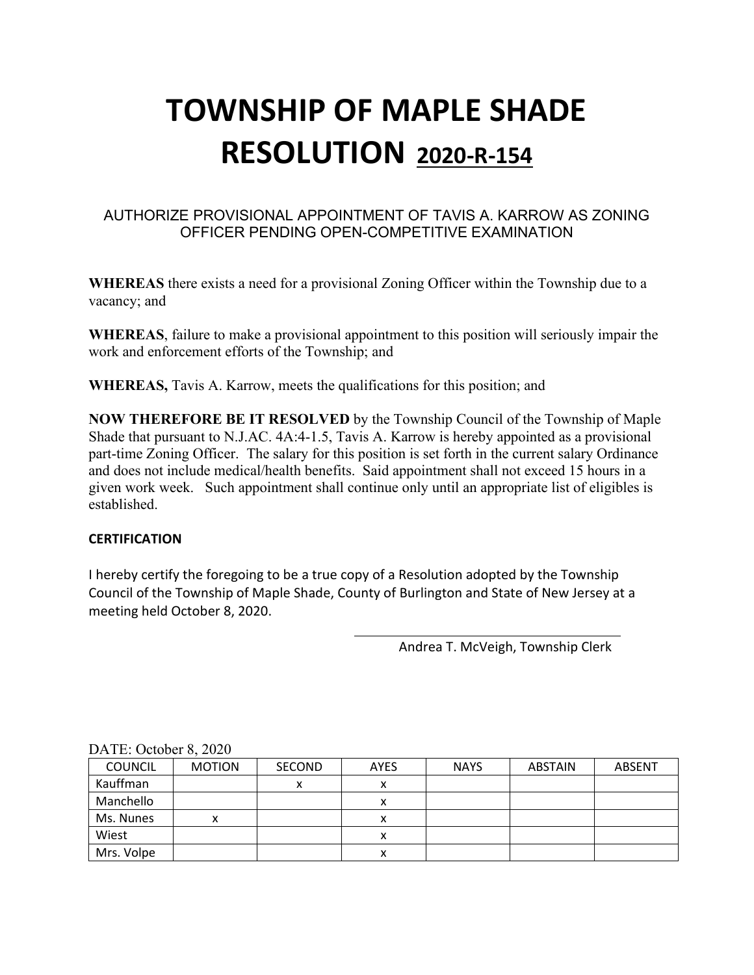## AUTHORIZE PROVISIONAL APPOINTMENT OF TAVIS A. KARROW AS ZONING OFFICER PENDING OPEN-COMPETITIVE EXAMINATION

**WHEREAS** there exists a need for a provisional Zoning Officer within the Township due to a vacancy; and

**WHEREAS**, failure to make a provisional appointment to this position will seriously impair the work and enforcement efforts of the Township; and

**WHEREAS,** Tavis A. Karrow, meets the qualifications for this position; and

**NOW THEREFORE BE IT RESOLVED** by the Township Council of the Township of Maple Shade that pursuant to N.J.AC. 4A:4-1.5, Tavis A. Karrow is hereby appointed as a provisional part-time Zoning Officer. The salary for this position is set forth in the current salary Ordinance and does not include medical/health benefits. Said appointment shall not exceed 15 hours in a given work week. Such appointment shall continue only until an appropriate list of eligibles is established.

#### **CERTIFICATION**

I hereby certify the foregoing to be a true copy of a Resolution adopted by the Township Council of the Township of Maple Shade, County of Burlington and State of New Jersey at a meeting held October 8, 2020.

Andrea T. McVeigh, Township Clerk

| $PL11L.$ October 0, $2020$ |               |               |             |             |                |               |  |
|----------------------------|---------------|---------------|-------------|-------------|----------------|---------------|--|
| <b>COUNCIL</b>             | <b>MOTION</b> | <b>SECOND</b> | <b>AYES</b> | <b>NAYS</b> | <b>ABSTAIN</b> | <b>ABSENT</b> |  |
| Kauffman                   |               | v<br>́        | ́           |             |                |               |  |
| Manchello                  |               |               | x           |             |                |               |  |
| Ms. Nunes                  |               |               |             |             |                |               |  |
| Wiest                      |               |               | x           |             |                |               |  |
| Mrs. Volpe                 |               |               | х           |             |                |               |  |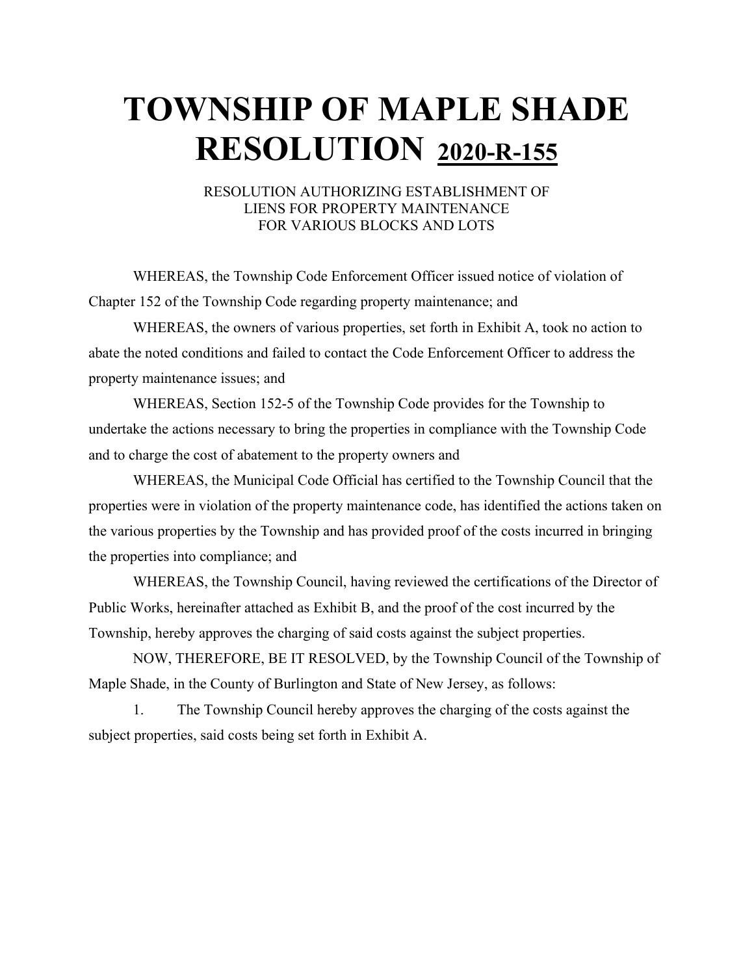#### RESOLUTION AUTHORIZING ESTABLISHMENT OF LIENS FOR PROPERTY MAINTENANCE FOR VARIOUS BLOCKS AND LOTS

WHEREAS, the Township Code Enforcement Officer issued notice of violation of Chapter 152 of the Township Code regarding property maintenance; and

WHEREAS, the owners of various properties, set forth in Exhibit A, took no action to abate the noted conditions and failed to contact the Code Enforcement Officer to address the property maintenance issues; and

WHEREAS, Section 152-5 of the Township Code provides for the Township to undertake the actions necessary to bring the properties in compliance with the Township Code and to charge the cost of abatement to the property owners and

WHEREAS, the Municipal Code Official has certified to the Township Council that the properties were in violation of the property maintenance code, has identified the actions taken on the various properties by the Township and has provided proof of the costs incurred in bringing the properties into compliance; and

WHEREAS, the Township Council, having reviewed the certifications of the Director of Public Works, hereinafter attached as Exhibit B, and the proof of the cost incurred by the Township, hereby approves the charging of said costs against the subject properties.

NOW, THEREFORE, BE IT RESOLVED, by the Township Council of the Township of Maple Shade, in the County of Burlington and State of New Jersey, as follows:

1. The Township Council hereby approves the charging of the costs against the subject properties, said costs being set forth in Exhibit A.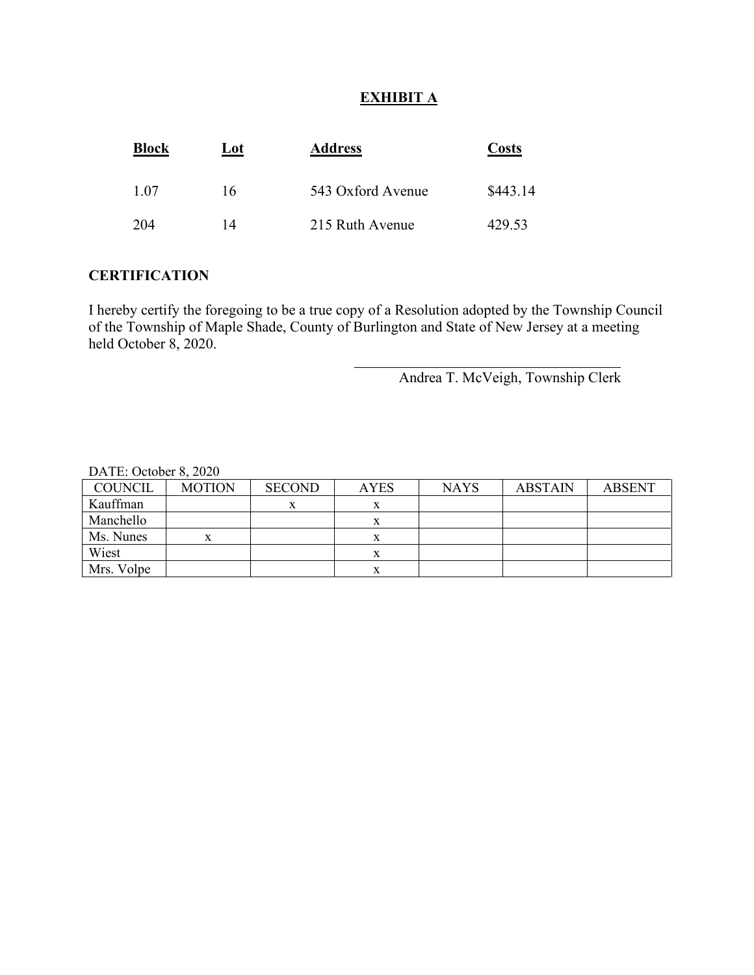## **EXHIBIT A**

| <b>Block</b> | Lot | <b>Address</b>    | <b>Costs</b> |  |
|--------------|-----|-------------------|--------------|--|
| 1.07         | 16  | 543 Oxford Avenue | \$443.14     |  |
| 204          | 14  | 215 Ruth Avenue   | 429.53       |  |

#### **CERTIFICATION**

I hereby certify the foregoing to be a true copy of a Resolution adopted by the Township Council of the Township of Maple Shade, County of Burlington and State of New Jersey at a meeting held October 8, 2020.

Andrea T. McVeigh, Township Clerk

| <b>COUNCIL</b> | <b>MOTION</b> | <b>SECOND</b> | <b>AYES</b> | <b>NAYS</b> | <b>ABSTAIN</b> | <b>ABSENT</b> |
|----------------|---------------|---------------|-------------|-------------|----------------|---------------|
| Kauffman       |               | x             | л           |             |                |               |
| Manchello      |               |               |             |             |                |               |
| Ms. Nunes      | x             |               | л           |             |                |               |
| Wiest          |               |               | л           |             |                |               |
| Mrs. Volpe     |               |               |             |             |                |               |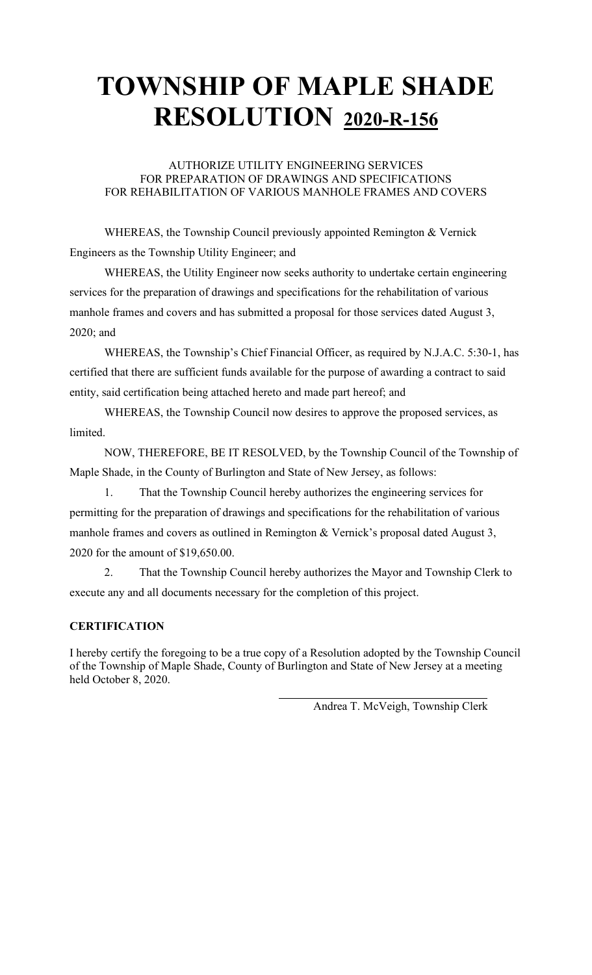## AUTHORIZE UTILITY ENGINEERING SERVICES FOR PREPARATION OF DRAWINGS AND SPECIFICATIONS FOR REHABILITATION OF VARIOUS MANHOLE FRAMES AND COVERS

WHEREAS, the Township Council previously appointed Remington & Vernick Engineers as the Township Utility Engineer; and

WHEREAS, the Utility Engineer now seeks authority to undertake certain engineering services for the preparation of drawings and specifications for the rehabilitation of various manhole frames and covers and has submitted a proposal for those services dated August 3, 2020; and

WHEREAS, the Township's Chief Financial Officer, as required by N.J.A.C. 5:30-1, has certified that there are sufficient funds available for the purpose of awarding a contract to said entity, said certification being attached hereto and made part hereof; and

WHEREAS, the Township Council now desires to approve the proposed services, as limited.

NOW, THEREFORE, BE IT RESOLVED, by the Township Council of the Township of Maple Shade, in the County of Burlington and State of New Jersey, as follows:

1. That the Township Council hereby authorizes the engineering services for permitting for the preparation of drawings and specifications for the rehabilitation of various manhole frames and covers as outlined in Remington & Vernick's proposal dated August 3, 2020 for the amount of \$19,650.00.

2. That the Township Council hereby authorizes the Mayor and Township Clerk to execute any and all documents necessary for the completion of this project.

# **CERTIFICATION**

I hereby certify the foregoing to be a true copy of a Resolution adopted by the Township Council of the Township of Maple Shade, County of Burlington and State of New Jersey at a meeting held October 8, 2020.

Andrea T. McVeigh, Township Clerk